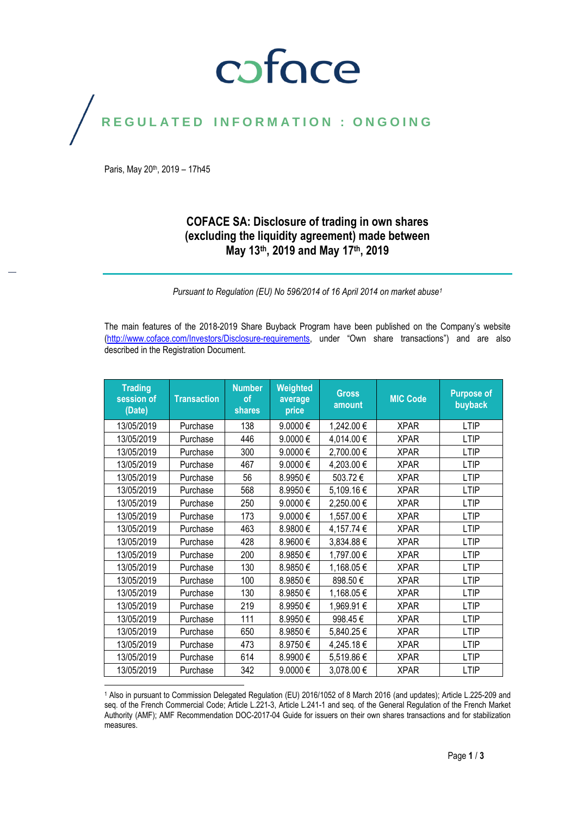## coface

## REGULATED INFORMATION : ONGOING

Paris, May 20<sup>th</sup>, 2019 - 17h45

#### **COFACE SA: Disclosure of trading in own shares (excluding the liquidity agreement) made between May 13th, 2019 and May 17th, 2019**

*Pursuant to Regulation (EU) No 596/2014 of 16 April 2014 on market abuse<sup>1</sup>*

The main features of the 2018-2019 Share Buyback Program have been published on the Company's website [\(http://www.coface.com/Investors/Disclosure-requirements](http://www.coface.com/Investors/Disclosure-requirements), under "Own share transactions") and are also described in the Registration Document.

| <b>Trading</b><br>session of<br>(Date) | <b>Transaction</b> | <b>Number</b><br>of<br>shares | Weighted<br>average<br>price | <b>Gross</b><br>amount | <b>MIC Code</b> | <b>Purpose of</b><br>buyback |
|----------------------------------------|--------------------|-------------------------------|------------------------------|------------------------|-----------------|------------------------------|
| 13/05/2019                             | Purchase           | 138                           | 9.0000€                      | 1,242.00€              | <b>XPAR</b>     | <b>LTIP</b>                  |
| 13/05/2019                             | Purchase           | 446                           | 9.0000€                      | 4,014.00€              | <b>XPAR</b>     | <b>LTIP</b>                  |
| 13/05/2019                             | Purchase           | 300                           | 9.0000€                      | 2,700.00€              | <b>XPAR</b>     | <b>LTIP</b>                  |
| 13/05/2019                             | Purchase           | 467                           | 9.0000€                      | 4,203.00€              | <b>XPAR</b>     | <b>LTIP</b>                  |
| 13/05/2019                             | Purchase           | 56                            | 8.9950€                      | 503.72€                | <b>XPAR</b>     | <b>LTIP</b>                  |
| 13/05/2019                             | Purchase           | 568                           | 8.9950€                      | 5,109.16€              | <b>XPAR</b>     | <b>LTIP</b>                  |
| 13/05/2019                             | Purchase           | 250                           | 9.0000€                      | 2,250.00€              | <b>XPAR</b>     | <b>LTIP</b>                  |
| 13/05/2019                             | Purchase           | 173                           | 9.0000€                      | 1,557.00 €             | <b>XPAR</b>     | <b>LTIP</b>                  |
| 13/05/2019                             | Purchase           | 463                           | 8.9800€                      | 4,157.74 €             | <b>XPAR</b>     | <b>LTIP</b>                  |
| 13/05/2019                             | Purchase           | 428                           | 8.9600€                      | 3,834.88€              | <b>XPAR</b>     | <b>LTIP</b>                  |
| 13/05/2019                             | Purchase           | 200                           | 8.9850€                      | 1,797.00€              | <b>XPAR</b>     | <b>LTIP</b>                  |
| 13/05/2019                             | Purchase           | 130                           | 8.9850€                      | 1,168.05€              | <b>XPAR</b>     | <b>LTIP</b>                  |
| 13/05/2019                             | Purchase           | 100                           | 8.9850€                      | 898.50€                | <b>XPAR</b>     | <b>LTIP</b>                  |
| 13/05/2019                             | Purchase           | 130                           | 8.9850€                      | 1,168.05€              | <b>XPAR</b>     | <b>LTIP</b>                  |
| 13/05/2019                             | Purchase           | 219                           | 8.9950€                      | 1,969.91€              | <b>XPAR</b>     | <b>LTIP</b>                  |
| 13/05/2019                             | Purchase           | 111                           | 8.9950€                      | 998.45€                | <b>XPAR</b>     | <b>LTIP</b>                  |
| 13/05/2019                             | Purchase           | 650                           | 8.9850€                      | 5,840.25€              | <b>XPAR</b>     | <b>LTIP</b>                  |
| 13/05/2019                             | Purchase           | 473                           | 8.9750€                      | 4,245.18€              | <b>XPAR</b>     | <b>LTIP</b>                  |
| 13/05/2019                             | Purchase           | 614                           | 8.9900€                      | 5,519.86€              | <b>XPAR</b>     | <b>LTIP</b>                  |
| 13/05/2019                             | Purchase           | 342                           | $9.0000 \in$                 | 3,078.00 €             | <b>XPAR</b>     | <b>LTIP</b>                  |

<sup>1</sup> Also in pursuant to Commission Delegated Regulation (EU) 2016/1052 of 8 March 2016 (and updates); Article L.225-209 and seq. of the French Commercial Code; Article L.221-3, Article L.241-1 and seq. of the General Regulation of the French Market Authority (AMF); AMF Recommendation DOC-2017-04 Guide for issuers on their own shares transactions and for stabilization measures.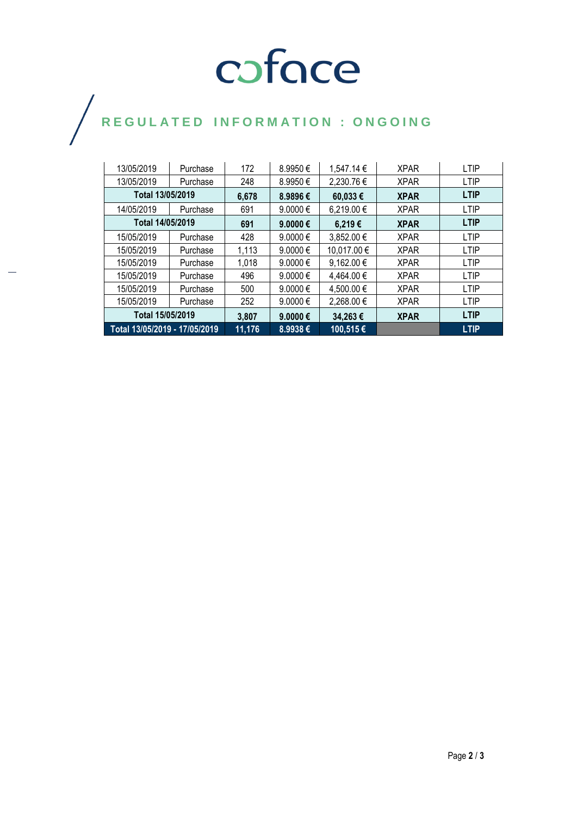# COFOCE

## $\bigg)$

| 13/05/2019                    | Purchase | 172    | 8.9950€      | 1,547.14 €  | <b>XPAR</b> | <b>LTIP</b> |
|-------------------------------|----------|--------|--------------|-------------|-------------|-------------|
| 13/05/2019                    | Purchase | 248    | 8.9950€      | 2,230.76€   | <b>XPAR</b> | <b>LTIP</b> |
| Total 13/05/2019              |          | 6,678  | 8.9896€      | 60,033€     | <b>XPAR</b> | <b>LTIP</b> |
| 14/05/2019                    | Purchase | 691    | $9.0000 \in$ | 6,219.00€   | <b>XPAR</b> | <b>LTIP</b> |
| Total 14/05/2019              |          | 691    | 9.0000 €     | 6,219€      | <b>XPAR</b> | <b>LTIP</b> |
| 15/05/2019                    | Purchase | 428    | $9.0000 \in$ | 3,852.00 €  | <b>XPAR</b> | <b>LTIP</b> |
| 15/05/2019                    | Purchase | 1,113  | 9.0000€      | 10,017.00 € | <b>XPAR</b> | <b>LTIP</b> |
| 15/05/2019                    | Purchase | 1,018  | 9.0000 €     | 9,162.00 €  | <b>XPAR</b> | <b>LTIP</b> |
| 15/05/2019                    | Purchase | 496    | $9.0000 \in$ | 4,464.00 €  | <b>XPAR</b> | <b>LTIP</b> |
| 15/05/2019                    | Purchase | 500    | $9.0000 \in$ | 4,500.00€   | <b>XPAR</b> | <b>LTIP</b> |
| 15/05/2019                    | Purchase | 252    | $9.0000 \in$ | 2,268.00 €  | <b>XPAR</b> | <b>LTIP</b> |
| Total 15/05/2019              |          | 3,807  | 9.0000 $\in$ | 34,263€     | <b>XPAR</b> | <b>LTIP</b> |
| Total 13/05/2019 - 17/05/2019 |          | 11,176 | 8.9938€      | 100,515€    |             | <b>LTIP</b> |